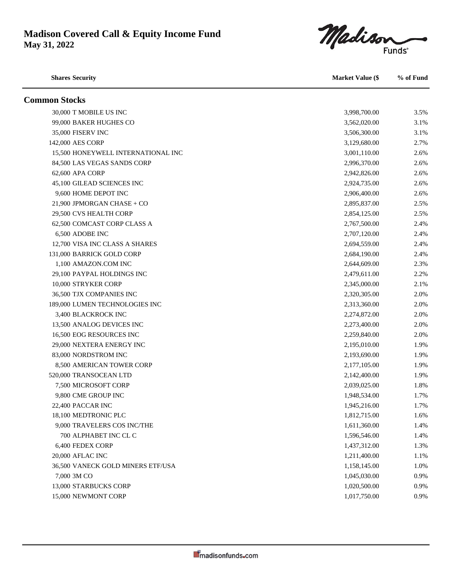Madiso **Funds**<sup>®</sup>

**Shares Security Market Value (\$ % of Fund Common Stocks** 30,000 T MOBILE US INC 3.5% 99,000 BAKER HUGHES CO 3,562,020.00 3.1% 35,000 FISERV INC 3.1% 3.506,300.00 3.1% 142,000 AES CORP 3,129,680.00 2.7% 15,500 HONEYWELL INTERNATIONAL INC 3,001,110.00 2.6% 84,500 LAS VEGAS SANDS CORP 2.6% 2.996,370.00 2.6% 62,600 APA CORP 2,942,826.00 2.6% 45,100 GILEAD SCIENCES INC 2,924,735.00 2.6% 9,600 HOME DEPOT INC 2.9%, 2006, 2006, 2006, 2006, 2006, 2006, 2006, 2006, 2006, 2006, 2006, 2006, 2006, 2006 21,900 JPMORGAN CHASE + CO 2,895,837.00 2.5% 29,500 CVS HEALTH CORP 2,854,125.00 2.5% 62,500 COMCAST CORP CLASS A 2,767,500.00 2.4% 6,500 ADOBE INC 2,707,120.00 2.4% 12,700 VISA INC CLASS A SHARES 2,694,559.00 2.4% 131,000 BARRICK GOLD CORP 2.4% 1,100 AMAZON.COM INC 2,644,609.00 2.3% 29,100 PAYPAL HOLDINGS INC 2.2% 10,000 STRYKER CORP 2,345,000.00 2.1% 36,500 TJX COMPANIES INC 2,320,305.00 2.0% 189,000 LUMEN TECHNOLOGIES INC 2,313,360.00 2.0% 3,400 BLACKROCK INC 2,274,872.00 2.0% 13,500 ANALOG DEVICES INC 2,273,400.00 2.0% 16,500 EOG RESOURCES INC 2,259,840.00 2.0% 29,000 NEXTERA ENERGY INC 2,195,010.00 1.9% 83.000 NORDSTROM INC 2.193.690.00 1.9% 8,500 AMERICAN TOWER CORP 2,177,105.00 1.9% 520,000 TRANSOCEAN LTD 2,142,400.00 1.9% 7,500 MICROSOFT CORP 2,039,025.00 1.8% 9,800 CME GROUP INC 1.948,534.00 1.7% 22.400 PACCAR INC 1.945.216.00 1.7% 18,100 MEDTRONIC PLC 1,812,715.00 1.6% 9,000 TRAVELERS COS INC/THE 1,611,360.00 1.4% 700 ALPHABET INC CL C 1,596,546.00 1.4% 6,400 FEDEX CORP 1.3% and 1.3% and 1.3% and 1.3% and 1.3% and 1.3% and 1.3% and 1.3% and 1.3% and 1.3% and 1.3% 20,000 AFLAC INC 1.1% 1.211,400.00 1.1% 36,500 VANECK GOLD MINERS ETF/USA 1,158,145.00 1.0% 7,000 3M CO 6.9% and the state of the state of the state of the state of the state of the state of the state of the state of the state of the state of the state of the state of the state of the state of the state of the st 13,000 STARBUCKS CORP 1,020,500.00 0.9% 15,000 NEWMONT CORP 1,017,750.00 0.9%

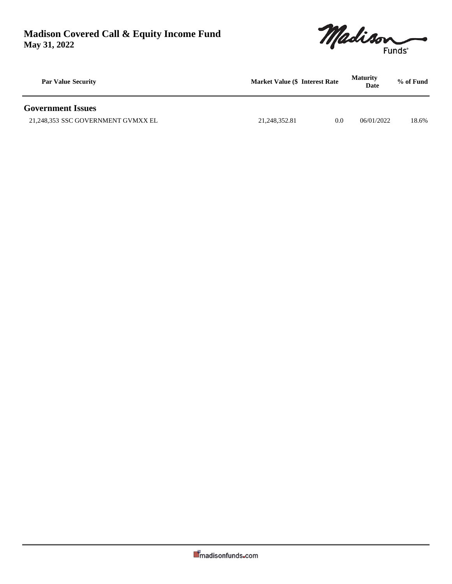

| <b>Par Value Security</b>          | <b>Market Value (\$ Interest Rate)</b> |     | <b>Maturity</b><br>Date | % of Fund |  |
|------------------------------------|----------------------------------------|-----|-------------------------|-----------|--|
| <b>Government Issues</b>           |                                        |     |                         |           |  |
| 21,248,353 SSC GOVERNMENT GVMXX EL | 21.248.352.81                          | 0.0 | 06/01/2022              | 18.6%     |  |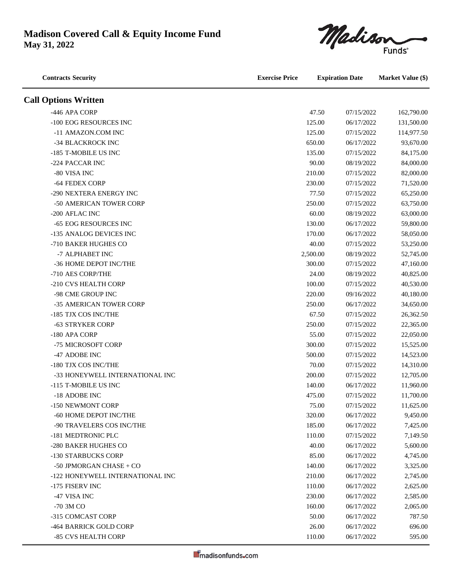

| <b>Contracts Security</b>        | <b>Exercise Price</b> | <b>Expiration Date</b> |            | <b>Market Value (\$)</b> |  |
|----------------------------------|-----------------------|------------------------|------------|--------------------------|--|
| <b>Call Options Written</b>      |                       |                        |            |                          |  |
| -446 APA CORP                    |                       | 47.50                  | 07/15/2022 | 162,790.00               |  |
| -100 EOG RESOURCES INC           |                       | 125.00                 | 06/17/2022 | 131,500.00               |  |
| -11 AMAZON.COM INC               |                       | 125.00                 | 07/15/2022 | 114,977.50               |  |
| -34 BLACKROCK INC                |                       | 650.00                 | 06/17/2022 | 93,670.00                |  |
| -185 T-MOBILE US INC             |                       | 135.00                 | 07/15/2022 | 84,175.00                |  |
| -224 PACCAR INC                  |                       | 90.00                  | 08/19/2022 | 84,000.00                |  |
| -80 VISA INC                     |                       | 210.00                 | 07/15/2022 | 82,000.00                |  |
| -64 FEDEX CORP                   |                       | 230.00                 | 07/15/2022 | 71,520.00                |  |
| -290 NEXTERA ENERGY INC          |                       | 77.50                  | 07/15/2022 | 65,250.00                |  |
| -50 AMERICAN TOWER CORP          |                       | 250.00                 | 07/15/2022 | 63,750.00                |  |
| -200 AFLAC INC                   |                       | 60.00                  | 08/19/2022 | 63,000.00                |  |
| -65 EOG RESOURCES INC            |                       | 130.00                 | 06/17/2022 | 59,800.00                |  |
| -135 ANALOG DEVICES INC          |                       | 170.00                 | 06/17/2022 | 58,050.00                |  |
| -710 BAKER HUGHES CO             |                       | 40.00                  | 07/15/2022 | 53,250.00                |  |
| -7 ALPHABET INC                  |                       | 2,500.00               | 08/19/2022 | 52,745.00                |  |
| -36 HOME DEPOT INC/THE           |                       | 300.00                 | 07/15/2022 | 47,160.00                |  |
| -710 AES CORP/THE                |                       | 24.00                  | 08/19/2022 | 40,825.00                |  |
| -210 CVS HEALTH CORP             |                       | 100.00                 | 07/15/2022 | 40,530.00                |  |
| -98 CME GROUP INC                |                       | 220.00                 | 09/16/2022 | 40,180.00                |  |
| -35 AMERICAN TOWER CORP          |                       | 250.00                 | 06/17/2022 | 34,650.00                |  |
| -185 TJX COS INC/THE             |                       | 67.50                  | 07/15/2022 | 26,362.50                |  |
| -63 STRYKER CORP                 |                       | 250.00                 | 07/15/2022 | 22,365.00                |  |
| -180 APA CORP                    |                       | 55.00                  | 07/15/2022 | 22,050.00                |  |
| -75 MICROSOFT CORP               |                       | 300.00                 | 07/15/2022 | 15,525.00                |  |
| -47 ADOBE INC                    |                       | 500.00                 | 07/15/2022 | 14,523.00                |  |
| -180 TJX COS INC/THE             |                       | 70.00                  | 07/15/2022 | 14,310.00                |  |
| -33 HONEYWELL INTERNATIONAL INC  |                       | 200.00                 | 07/15/2022 | 12,705.00                |  |
| -115 T-MOBILE US INC             |                       | 140.00                 | 06/17/2022 | 11,960.00                |  |
| -18 ADOBE INC                    |                       | 475.00                 | 07/15/2022 | 11,700.00                |  |
| -150 NEWMONT CORP                |                       | 75.00                  | 07/15/2022 | 11,625.00                |  |
| -60 HOME DEPOT INC/THE           |                       | 320.00                 | 06/17/2022 | 9,450.00                 |  |
| -90 TRAVELERS COS INC/THE        |                       | 185.00                 | 06/17/2022 | 7,425.00                 |  |
| -181 MEDTRONIC PLC               |                       | 110.00                 | 07/15/2022 | 7,149.50                 |  |
| -280 BAKER HUGHES CO             |                       | 40.00                  | 06/17/2022 | 5,600.00                 |  |
| -130 STARBUCKS CORP              |                       | 85.00                  | 06/17/2022 | 4,745.00                 |  |
| -50 JPMORGAN CHASE + $CO$        |                       | 140.00                 | 06/17/2022 | 3,325.00                 |  |
| -122 HONEYWELL INTERNATIONAL INC |                       | 210.00                 | 06/17/2022 | 2,745.00                 |  |
| -175 FISERV INC                  |                       | 110.00                 | 06/17/2022 | 2,625.00                 |  |
| -47 VISA INC                     |                       | 230.00                 | 06/17/2022 | 2,585.00                 |  |
| -70 3M CO                        |                       | 160.00                 | 06/17/2022 | 2,065.00                 |  |
| -315 COMCAST CORP                |                       | 50.00                  | 06/17/2022 | 787.50                   |  |
| -464 BARRICK GOLD CORP           |                       | 26.00                  | 06/17/2022 | 696.00                   |  |
| -85 CVS HEALTH CORP              |                       | 110.00                 | 06/17/2022 | 595.00                   |  |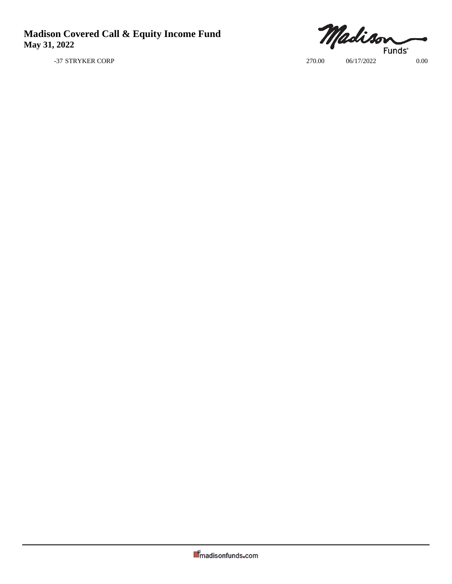Madison **Funds**<sup>\*</sup>

-37 STRYKER CORP 270.00 06/17/2022 0.00